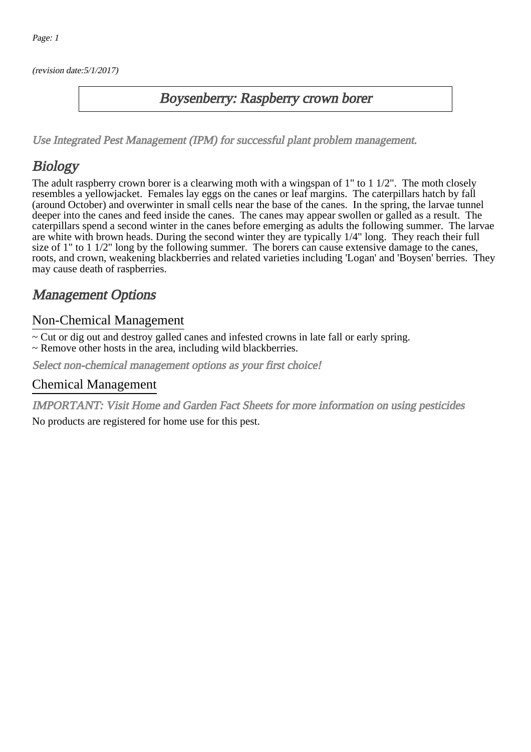(revision date:5/1/2017)

#### Boysenberry: Raspberry crown borer

[Use Integrated Pest Management \(IPM\) for successful plant problem management.](http://pep.wsu.edu/Home_Garden/H_G_Pesticide_info/urban_Integrated_Pest_Managmen/)

## Biology

The adult raspberry crown borer is a clearwing moth with a wingspan of 1" to 1 1/2". The moth closely resembles a yellowjacket. Females lay eggs on the canes or leaf margins. The caterpillars hatch by fall (around October) and overwinter in small cells near the base of the canes. In the spring, the larvae tunnel deeper into the canes and feed inside the canes. The canes may appear swollen or galled as a result. The caterpillars spend a second winter in the canes before emerging as adults the following summer. The larvae are white with brown heads. During the second winter they are typically 1/4" long. They reach their full size of 1" to 1 1/2" long by the following summer. The borers can cause extensive damage to the canes, roots, and crown, weakening blackberries and related varieties including 'Logan' and 'Boysen' berries. They may cause death of raspberries.

## Management Options

#### Non-Chemical Management

~ Cut or dig out and destroy galled canes and infested crowns in late fall or early spring.

~ Remove other hosts in the area, including wild blackberries.

Select non-chemical management options as your first choice!

#### Chemical Management

IMPORTANT: [Visit Home and Garden Fact Sheets for more information on using pesticides](http://pep.wsu.edu/Home_Garden/H_G_Pesticide_info/)

No products are registered for home use for this pest.